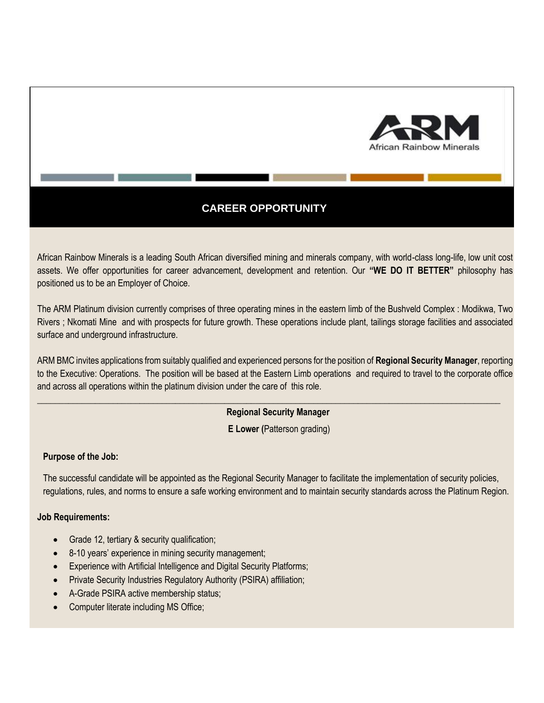

# **CAREER OPPORTUNITY**

African Rainbow Minerals is a leading South African diversified mining and minerals company, with world-class long-life, low unit cost assets. We offer opportunities for career advancement, development and retention. Our **"WE DO IT BETTER"** philosophy has positioned us to be an Employer of Choice.

The ARM Platinum division currently comprises of three operating mines in the eastern limb of the Bushveld Complex : Modikwa, Two Rivers ; Nkomati Mine and with prospects for future growth. These operations include plant, tailings storage facilities and associated surface and underground infrastructure.

ARM BMC invites applications from suitably qualified and experienced persons for the position of **Regional Security Manager**, reporting to the Executive: Operations. The position will be based at the Eastern Limb operations and required to travel to the corporate office and across all operations within the platinum division under the care of this role.

**\_\_\_\_\_\_\_\_\_\_\_\_\_\_\_\_\_\_\_\_\_\_\_\_\_\_\_\_\_\_\_\_\_\_\_\_\_\_\_\_\_\_\_\_\_\_\_\_\_\_\_\_\_\_\_\_\_\_\_\_\_\_\_\_\_\_\_\_\_\_\_\_\_\_\_\_\_\_\_\_\_\_\_\_\_\_\_\_\_\_\_\_\_\_\_\_\_\_\_\_\_\_\_\_**

## **Regional Security Manager**

**E Lower (**Patterson grading)

## **Purpose of the Job:**

The successful candidate will be appointed as the Regional Security Manager to facilitate the implementation of security policies, regulations, rules, and norms to ensure a safe working environment and to maintain security standards across the Platinum Region.

#### **Job Requirements:**

- Grade 12, tertiary & security qualification;
- 8-10 years' experience in mining security management;
- Experience with Artificial Intelligence and Digital Security Platforms;
- Private Security Industries Regulatory Authority (PSIRA) affiliation;
- A-Grade PSIRA active membership status;
- Computer literate including MS Office;